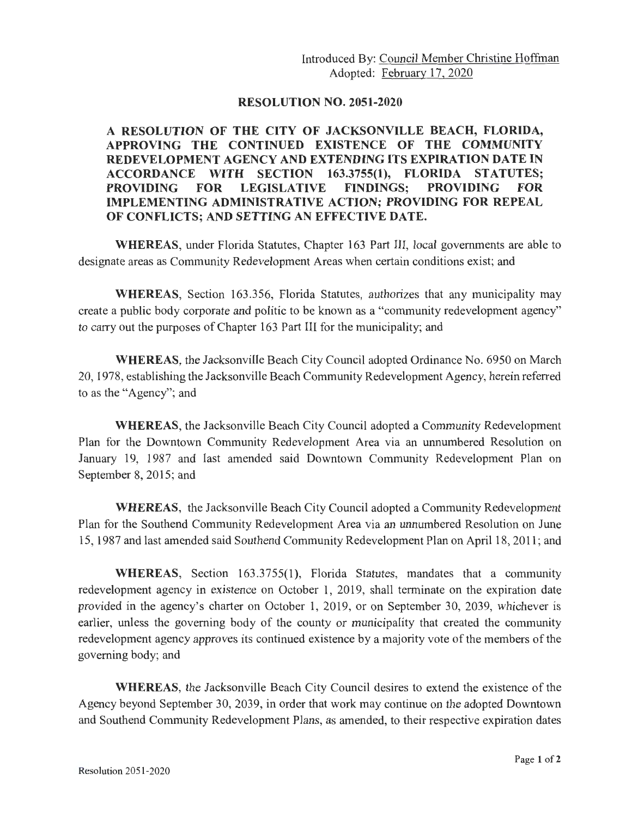## **RESOLUTION NO. 2051-2020**

## **A RESOLUTION OF THE CITY OF JACKSONVILLE BEACH, FLORIDA, APPROVING THE CONTINUED EXISTENCE OF THE COMMUNITY REDEVELOPMENT AGENCY AND EXTENDING ITS EXPIRATION DATE IN ACCORDANCE WITH SECTION 163.3755(1), FLORIDA STATUTES; PROVIDING FOR LEGISLATIVE FINDINGS; PROVIDING FOR IMPLEMENTING ADMINISTRATIVE ACTION; PROVIDING FOR REPEAL OF CONFLICTS; AND SETTING AN EFFECTIVE DATE.**

**WHEREAS,** under Florida Statutes, Chapter 163 Part III, local governments are able to designate areas as Community Redevelopment Areas when certain conditions exist; and

**WHEREAS,** Section 163.356, Florida Statutes, authorizes that any municipality may create a public body corporate and politic to be known as a "community redevelopment agency" to carry out the purposes of Chapter 163 Part III for the municipality; and

**WHEREAS,** the Jacksonville Beach City Council adopted Ordinance No. 6950 on March 20, 1978, establishing the Jacksonville Beach Community Redevelopment Agency, herein referred to as the "Agency"; and

**WHEREAS,** the Jacksonville Beach City Council adopted a Community Redevelopment Plan for the Downtown Community Redevelopment Area via an unnumbered Resolution on January 19, 1987 and last amended said Downtown Community Redevelopment Plan on September 8, 2015; and

**WHEREAS,** the Jacksonville Beach City Council adopted a Community Redevelopment Plan for the Southend Community Redevelopment Area via an unnumbered Resolution on June 15, 1987 and last amended said Southend Community Redevelopment Plan on April 18, 2011 ; and

**WHEREAS,** Section 163.3755(1), Florida Statutes, mandates that a community redevelopment agency in existence on October 1, 2019, shall terminate on the expiration date provided in the agency's charter on October 1, 2019, or on September 30, 2039, whichever is earlier, unless the governing body of the county or municipality that created the community redevelopment agency approves its continued existence by a majority vote of the members of the governing body; and

**WHEREAS,** the Jacksonville Beach City Council desires to extend the existence of the Agency beyond September 30, 2039, in order that work may continue on the adopted Downtown and Southend Community Redevelopment Plans, as amended, to their respective expiration dates